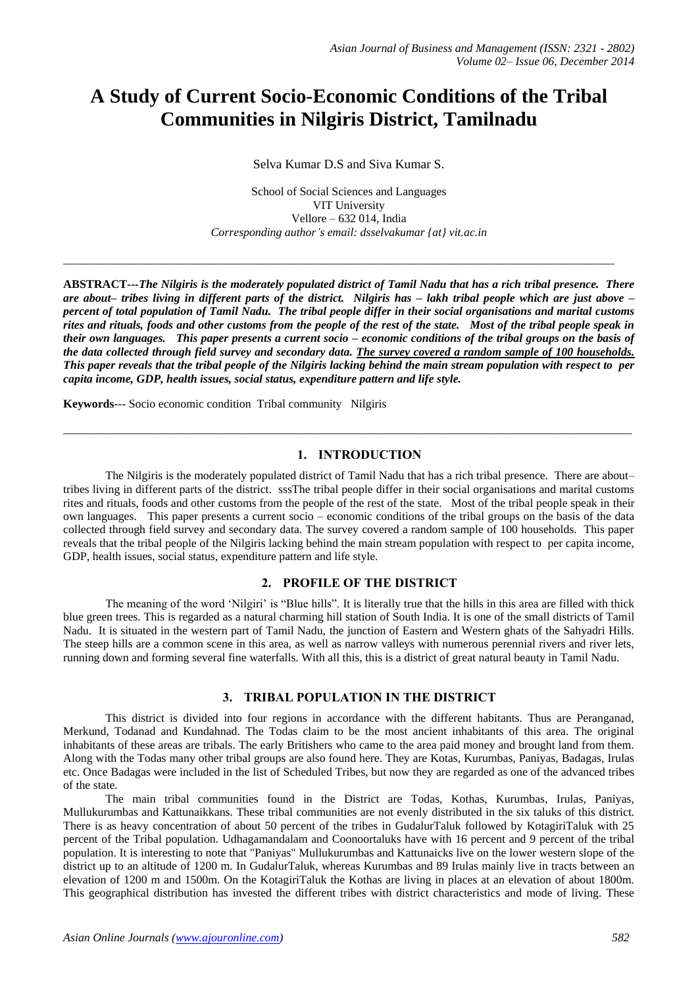# **A Study of Current Socio-Economic Conditions of the Tribal Communities in Nilgiris District, Tamilnadu**

Selva Kumar D.S and Siva Kumar S.

School of Social Sciences and Languages VIT University Vellore – 632 014, India *Corresponding author's email: dsselvakumar {at} vit.ac.in*

\_\_\_\_\_\_\_\_\_\_\_\_\_\_\_\_\_\_\_\_\_\_\_\_\_\_\_\_\_\_\_\_\_\_\_\_\_\_\_\_\_\_\_\_\_\_\_\_\_\_\_\_\_\_\_\_\_\_\_\_\_\_\_\_\_\_\_\_\_\_\_\_\_\_\_\_\_\_\_\_\_\_\_\_\_\_\_\_\_\_\_\_\_\_

**ABSTRACT---***The Nilgiris is the moderately populated district of Tamil Nadu that has a rich tribal presence. There are about– tribes living in different parts of the district. Nilgiris has – lakh tribal people which are just above – percent of total population of Tamil Nadu. The tribal people differ in their social organisations and marital customs rites and rituals, foods and other customs from the people of the rest of the state. Most of the tribal people speak in their own languages. This paper presents a current socio – economic conditions of the tribal groups on the basis of the data collected through field survey and secondary data. The survey covered a random sample of 100 households. This paper reveals that the tribal people of the Nilgiris lacking behind the main stream population with respect to per capita income, GDP, health issues, social status, expenditure pattern and life style.* 

**Keywords**--- Socio economic condition Tribal community Nilgiris

# **1. INTRODUCTION**

 $\_$  ,  $\_$  ,  $\_$  ,  $\_$  ,  $\_$  ,  $\_$  ,  $\_$  ,  $\_$  ,  $\_$  ,  $\_$  ,  $\_$  ,  $\_$  ,  $\_$  ,  $\_$  ,  $\_$  ,  $\_$  ,  $\_$  ,  $\_$  ,  $\_$  ,  $\_$  ,  $\_$  ,  $\_$  ,  $\_$  ,  $\_$  ,  $\_$  ,  $\_$  ,  $\_$  ,  $\_$  ,  $\_$  ,  $\_$  ,  $\_$  ,  $\_$  ,  $\_$  ,  $\_$  ,  $\_$  ,  $\_$  ,  $\_$  ,

The Nilgiris is the moderately populated district of Tamil Nadu that has a rich tribal presence. There are about– tribes living in different parts of the district. sssThe tribal people differ in their social organisations and marital customs rites and rituals, foods and other customs from the people of the rest of the state. Most of the tribal people speak in their own languages. This paper presents a current socio – economic conditions of the tribal groups on the basis of the data collected through field survey and secondary data. The survey covered a random sample of 100 households. This paper reveals that the tribal people of the Nilgiris lacking behind the main stream population with respect to per capita income, GDP, health issues, social status, expenditure pattern and life style.

### **2. PROFILE OF THE DISTRICT**

The meaning of the word 'Nilgiri' is "Blue hills". It is literally true that the hills in this area are filled with thick blue green trees. This is regarded as a natural charming hill station of South India. It is one of the small districts of Tamil Nadu. It is situated in the western part of Tamil Nadu, the junction of Eastern and Western ghats of the Sahyadri Hills. The steep hills are a common scene in this area, as well as narrow valleys with numerous perennial rivers and river lets, running down and forming several fine waterfalls. With all this, this is a district of great natural beauty in Tamil Nadu.

# **3. TRIBAL POPULATION IN THE DISTRICT**

This district is divided into four regions in accordance with the different habitants. Thus are Peranganad, Merkund, Todanad and Kundahnad. The Todas claim to be the most ancient inhabitants of this area. The original inhabitants of these areas are tribals. The early Britishers who came to the area paid money and brought land from them. Along with the Todas many other tribal groups are also found here. They are Kotas, Kurumbas, Paniyas, Badagas, Irulas etc. Once Badagas were included in the list of Scheduled Tribes, but now they are regarded as one of the advanced tribes of the state.

The main tribal communities found in the District are Todas, Kothas, Kurumbas, Irulas, Paniyas, Mullukurumbas and Kattunaikkans. These tribal communities are not evenly distributed in the six taluks of this district. There is as heavy concentration of about 50 percent of the tribes in GudalurTaluk followed by KotagiriTaluk with 25 percent of the Tribal population. Udhagamandalam and Coonoortaluks have with 16 percent and 9 percent of the tribal population. It is interesting to note that "Paniyas" Mullukurumbas and Kattunaicks live on the lower western slope of the district up to an altitude of 1200 m. In GudalurTaluk, whereas Kurumbas and 89 Irulas mainly live in tracts between an elevation of 1200 m and 1500m. On the KotagiriTaluk the Kothas are living in places at an elevation of about 1800m. This geographical distribution has invested the different tribes with district characteristics and mode of living. These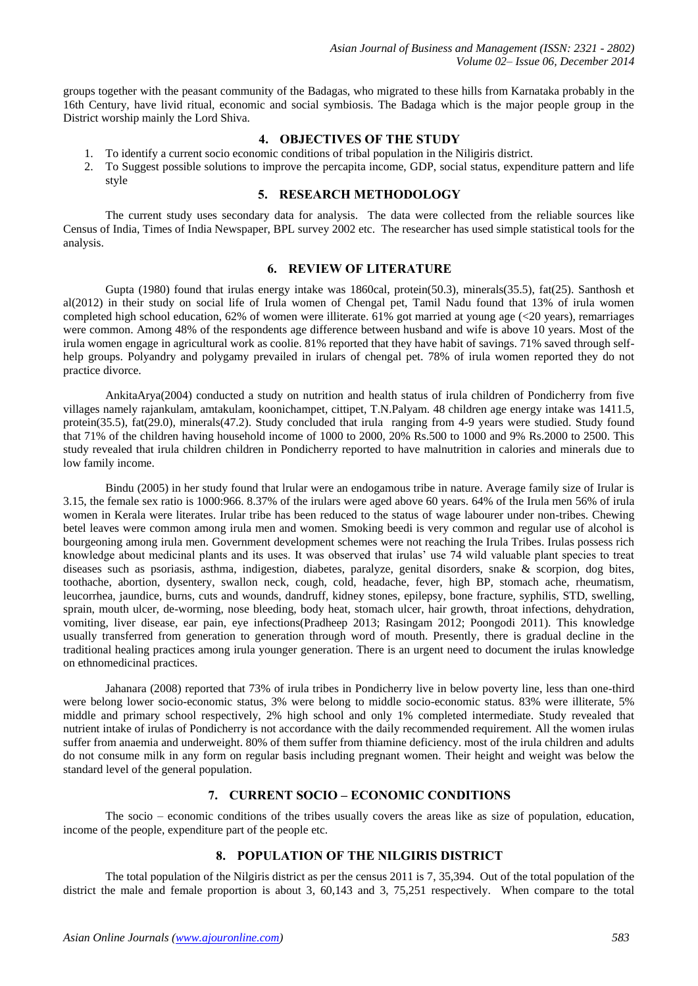groups together with the peasant community of the Badagas, who migrated to these hills from Karnataka probably in the 16th Century, have livid ritual, economic and social symbiosis. The Badaga which is the major people group in the District worship mainly the Lord Shiva.

# **4. OBJECTIVES OF THE STUDY**

- 1. To identify a current socio economic conditions of tribal population in the Niligiris district.
- 2. To Suggest possible solutions to improve the percapita income, GDP, social status, expenditure pattern and life style

#### **5. RESEARCH METHODOLOGY**

The current study uses secondary data for analysis. The data were collected from the reliable sources like Census of India, Times of India Newspaper, BPL survey 2002 etc. The researcher has used simple statistical tools for the analysis.

# **6. REVIEW OF LITERATURE**

Gupta (1980) found that irulas energy intake was 1860cal, protein(50.3), minerals(35.5), fat(25). Santhosh et al(2012) in their study on social life of Irula women of Chengal pet, Tamil Nadu found that 13% of irula women completed high school education, 62% of women were illiterate. 61% got married at young age (<20 years), remarriages were common. Among 48% of the respondents age difference between husband and wife is above 10 years. Most of the irula women engage in agricultural work as coolie. 81% reported that they have habit of savings. 71% saved through selfhelp groups. Polyandry and polygamy prevailed in irulars of chengal pet. 78% of irula women reported they do not practice divorce.

AnkitaArya(2004) conducted a study on nutrition and health status of irula children of Pondicherry from five villages namely rajankulam, amtakulam, koonichampet, cittipet, T.N.Palyam. 48 children age energy intake was 1411.5, protein(35.5), fat(29.0), minerals(47.2). Study concluded that irula ranging from 4-9 years were studied. Study found that 71% of the children having household income of 1000 to 2000, 20% Rs.500 to 1000 and 9% Rs.2000 to 2500. This study revealed that irula children children in Pondicherry reported to have malnutrition in calories and minerals due to low family income.

Bindu (2005) in her study found that lrular were an endogamous tribe in nature. Average family size of Irular is 3.15, the female sex ratio is 1000:966. 8.37% of the irulars were aged above 60 years. 64% of the Irula men 56% of irula women in Kerala were literates. Irular tribe has been reduced to the status of wage labourer under non-tribes. Chewing betel leaves were common among irula men and women. Smoking beedi is very common and regular use of alcohol is bourgeoning among irula men. Government development schemes were not reaching the Irula Tribes. Irulas possess rich knowledge about medicinal plants and its uses. It was observed that irulas' use 74 wild valuable plant species to treat diseases such as psoriasis, asthma, indigestion, diabetes, paralyze, genital disorders, snake & scorpion, dog bites, toothache, abortion, dysentery, swallon neck, cough, cold, headache, fever, high BP, stomach ache, rheumatism, leucorrhea, jaundice, burns, cuts and wounds, dandruff, kidney stones, epilepsy, bone fracture, syphilis, STD, swelling, sprain, mouth ulcer, de-worming, nose bleeding, body heat, stomach ulcer, hair growth, throat infections, dehydration, vomiting, liver disease, ear pain, eye infections(Pradheep 2013; Rasingam 2012; Poongodi 2011). This knowledge usually transferred from generation to generation through word of mouth. Presently, there is gradual decline in the traditional healing practices among irula younger generation. There is an urgent need to document the irulas knowledge on ethnomedicinal practices.

Jahanara (2008) reported that 73% of irula tribes in Pondicherry live in below poverty line, less than one-third were belong lower socio-economic status, 3% were belong to middle socio-economic status. 83% were illiterate, 5% middle and primary school respectively, 2% high school and only 1% completed intermediate. Study revealed that nutrient intake of irulas of Pondicherry is not accordance with the daily recommended requirement. All the women irulas suffer from anaemia and underweight. 80% of them suffer from thiamine deficiency. most of the irula children and adults do not consume milk in any form on regular basis including pregnant women. Their height and weight was below the standard level of the general population.

#### **7. CURRENT SOCIO – ECONOMIC CONDITIONS**

The socio – economic conditions of the tribes usually covers the areas like as size of population, education, income of the people, expenditure part of the people etc.

# **8. POPULATION OF THE NILGIRIS DISTRICT**

The total population of the Nilgiris district as per the census 2011 is 7, 35,394. Out of the total population of the district the male and female proportion is about 3, 60,143 and 3, 75,251 respectively. When compare to the total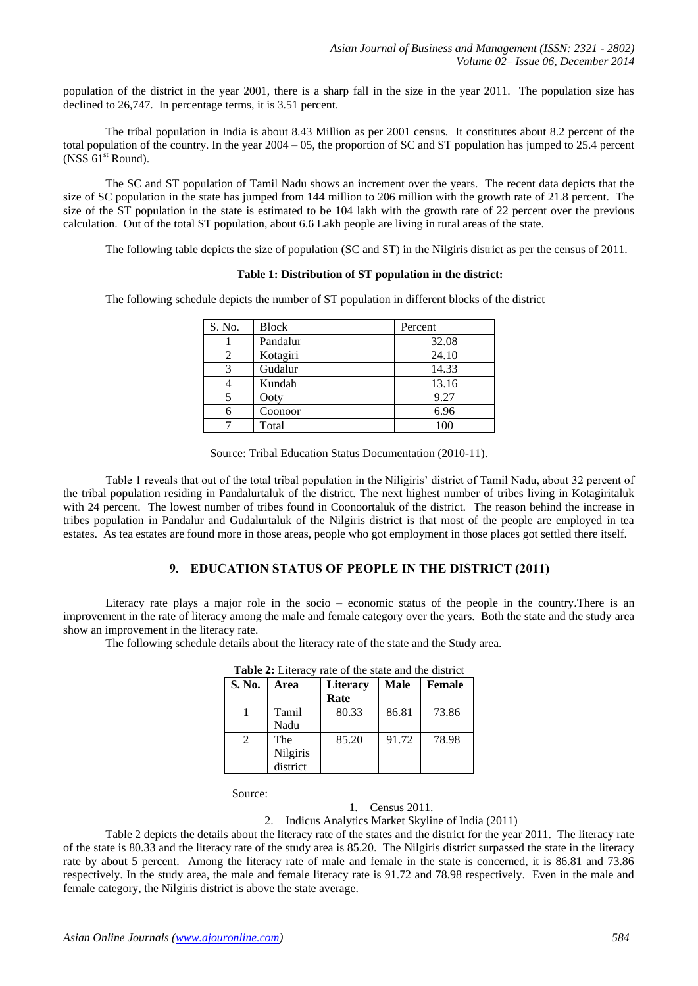population of the district in the year 2001, there is a sharp fall in the size in the year 2011. The population size has declined to 26,747. In percentage terms, it is 3.51 percent.

The tribal population in India is about 8.43 Million as per 2001 census. It constitutes about 8.2 percent of the total population of the country. In the year 2004 – 05, the proportion of SC and ST population has jumped to 25.4 percent (NSS  $61<sup>st</sup>$  Round).

The SC and ST population of Tamil Nadu shows an increment over the years. The recent data depicts that the size of SC population in the state has jumped from 144 million to 206 million with the growth rate of 21.8 percent. The size of the ST population in the state is estimated to be 104 lakh with the growth rate of 22 percent over the previous calculation. Out of the total ST population, about 6.6 Lakh people are living in rural areas of the state.

The following table depicts the size of population (SC and ST) in the Nilgiris district as per the census of 2011.

#### **Table 1: Distribution of ST population in the district:**

The following schedule depicts the number of ST population in different blocks of the district

| S. No. | <b>Block</b> | Percent |  |  |
|--------|--------------|---------|--|--|
|        | Pandalur     | 32.08   |  |  |
|        | Kotagiri     | 24.10   |  |  |
| 3      | Gudalur      | 14.33   |  |  |
|        | Kundah       | 13.16   |  |  |
|        | Ooty         | 9.27    |  |  |
| 6      | Coonoor      | 6.96    |  |  |
|        | Total        | 100     |  |  |

Source: Tribal Education Status Documentation (2010-11).

Table 1 reveals that out of the total tribal population in the Niligiris' district of Tamil Nadu, about 32 percent of the tribal population residing in Pandalurtaluk of the district. The next highest number of tribes living in Kotagiritaluk with 24 percent. The lowest number of tribes found in Coonoortaluk of the district. The reason behind the increase in tribes population in Pandalur and Gudalurtaluk of the Nilgiris district is that most of the people are employed in tea estates. As tea estates are found more in those areas, people who got employment in those places got settled there itself.

## **9. EDUCATION STATUS OF PEOPLE IN THE DISTRICT (2011)**

Literacy rate plays a major role in the socio – economic status of the people in the country.There is an improvement in the rate of literacy among the male and female category over the years. Both the state and the study area show an improvement in the literacy rate.

The following schedule details about the literacy rate of the state and the Study area.

| <b>Tapic 2.</b> Little v<br>Tale of the state and the district |          |                 |       |        |  |
|----------------------------------------------------------------|----------|-----------------|-------|--------|--|
| S. No.                                                         | Area     | <b>Literacy</b> | Male  | Female |  |
|                                                                |          | Rate            |       |        |  |
|                                                                | Tamil    | 80.33           | 86.81 | 73.86  |  |
|                                                                | Nadu     |                 |       |        |  |
| 2                                                              | The      | 85.20           | 91.72 | 78.98  |  |
|                                                                | Nilgiris |                 |       |        |  |
|                                                                | district |                 |       |        |  |

**Table 2:** Literacy rate of the state and the district

Source:

# 1. Census 2011.

2. Indicus Analytics Market Skyline of India (2011)

Table 2 depicts the details about the literacy rate of the states and the district for the year 2011. The literacy rate of the state is 80.33 and the literacy rate of the study area is 85.20. The Nilgiris district surpassed the state in the literacy rate by about 5 percent. Among the literacy rate of male and female in the state is concerned, it is 86.81 and 73.86 respectively. In the study area, the male and female literacy rate is 91.72 and 78.98 respectively. Even in the male and female category, the Nilgiris district is above the state average.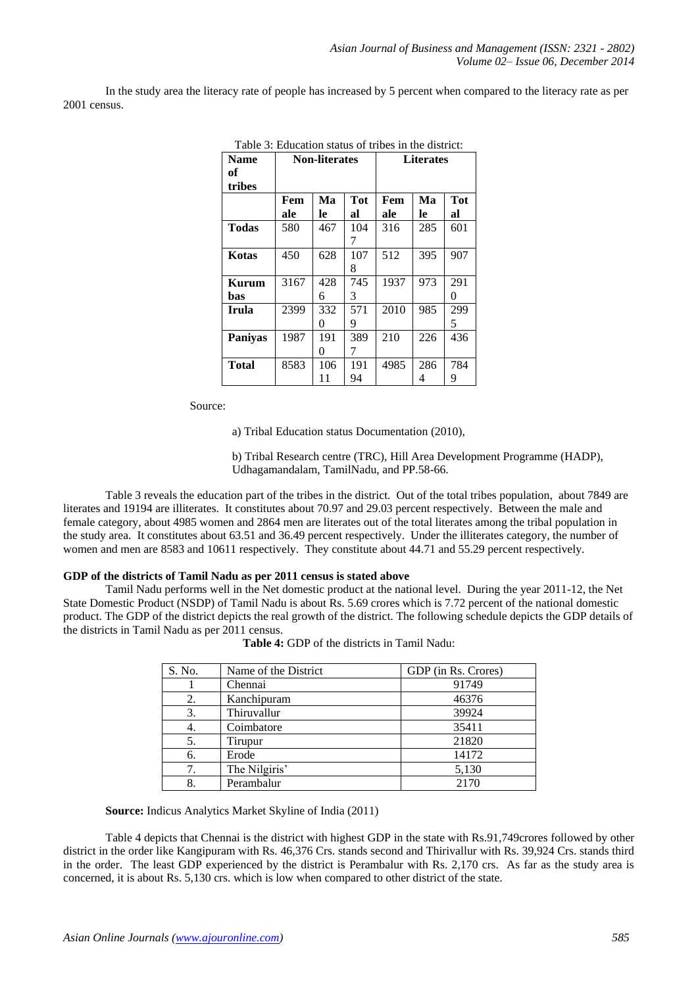In the study area the literacy rate of people has increased by 5 percent when compared to the literacy rate as per 2001 census.

| <b>Name</b><br>of<br>tribes |      | <b>Non-literates</b> |     | <b>Literates</b> |     |            |
|-----------------------------|------|----------------------|-----|------------------|-----|------------|
|                             | Fem  | Ma                   | Tot | Fem              | Мa  | <b>Tot</b> |
|                             | ale  | le                   | al  | ale              | le  | al         |
| Todas                       | 580  | 467                  | 104 | 316              | 285 | 601        |
|                             |      |                      | 7   |                  |     |            |
| Kotas                       | 450  | 628                  | 107 | 512              | 395 | 907        |
|                             |      |                      | 8   |                  |     |            |
| Kurum                       | 3167 | 428                  | 745 | 1937             | 973 | 291        |
| bas                         |      | 6                    | 3   |                  |     | 0          |
| Irula                       | 2399 | 332                  | 571 | 2010             | 985 | 299        |
|                             |      | 0                    | 9   |                  |     | 5          |
| <b>Paniyas</b>              | 1987 | 191                  | 389 | 210              | 226 | 436        |
|                             |      | 0                    | 7   |                  |     |            |
| Total                       | 8583 | 106                  | 191 | 4985             | 286 | 784        |
|                             |      | 11                   | 94  |                  | 4   | 9          |

Table 3: Education status of tribes in the district:

Source:

a) Tribal Education status Documentation (2010),

b) Tribal Research centre (TRC), Hill Area Development Programme (HADP), Udhagamandalam, TamilNadu, and PP.58-66.

Table 3 reveals the education part of the tribes in the district. Out of the total tribes population, about 7849 are literates and 19194 are illiterates. It constitutes about 70.97 and 29.03 percent respectively. Between the male and female category, about 4985 women and 2864 men are literates out of the total literates among the tribal population in the study area. It constitutes about 63.51 and 36.49 percent respectively. Under the illiterates category, the number of women and men are 8583 and 10611 respectively. They constitute about 44.71 and 55.29 percent respectively.

#### **GDP of the districts of Tamil Nadu as per 2011 census is stated above**

Tamil Nadu performs well in the Net domestic product at the national level. During the year 2011-12, the Net State Domestic Product (NSDP) of Tamil Nadu is about Rs. 5.69 crores which is 7.72 percent of the national domestic product. The GDP of the district depicts the real growth of the district. The following schedule depicts the GDP details of the districts in Tamil Nadu as per 2011 census.

| S. No. | Name of the District | GDP (in Rs. Crores) |
|--------|----------------------|---------------------|
|        | Chennai              | 91749               |
| 2.     | Kanchipuram          | 46376               |
| 3.     | Thiruvallur          | 39924               |
| 4.     | Coimbatore           | 35411               |
| 5.     | Tirupur              | 21820               |
| б.     | Erode                | 14172               |
|        | The Nilgiris'        | 5,130               |
|        | Perambalur           | 2170                |

| <b>Table 4:</b> GDP of the districts in Tamil Nadu: |  |
|-----------------------------------------------------|--|
|                                                     |  |

**Source:** Indicus Analytics Market Skyline of India (2011)

Table 4 depicts that Chennai is the district with highest GDP in the state with Rs.91,749crores followed by other district in the order like Kangipuram with Rs. 46,376 Crs. stands second and Thirivallur with Rs. 39,924 Crs. stands third in the order. The least GDP experienced by the district is Perambalur with Rs. 2,170 crs. As far as the study area is concerned, it is about Rs. 5,130 crs. which is low when compared to other district of the state.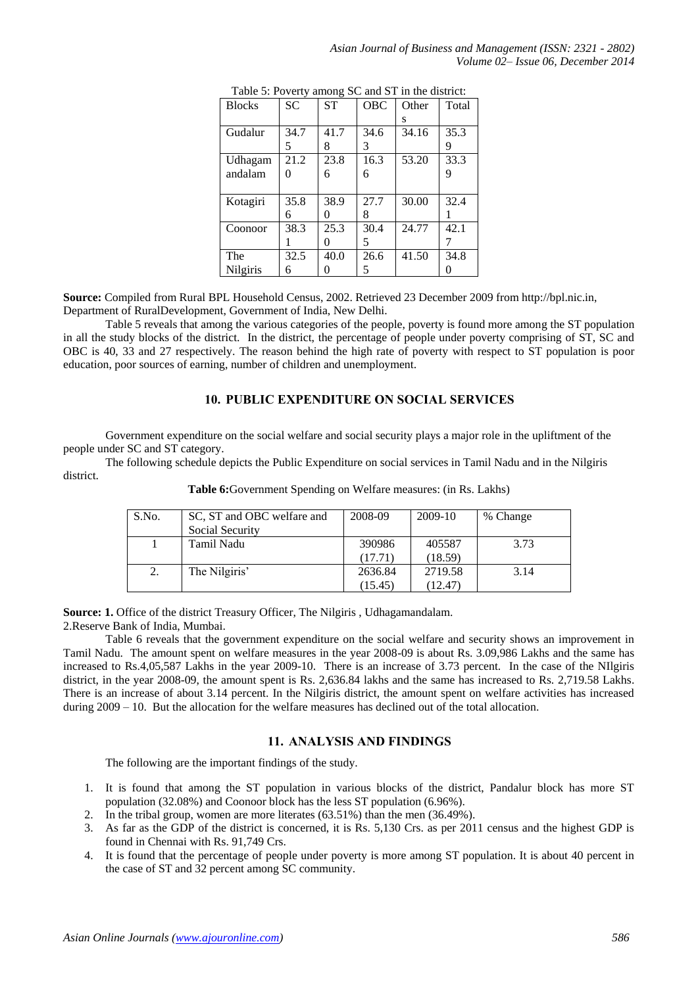|               |           | $\sqrt{2}$ |      |       |       |
|---------------|-----------|------------|------|-------|-------|
| <b>Blocks</b> | <b>SC</b> | <b>ST</b>  | OBC  | Other | Total |
|               |           |            |      | s     |       |
| Gudalur       | 34.7      | 41.7       | 34.6 | 34.16 | 35.3  |
|               |           | 8          | 3    |       | 9     |
| Udhagam       | 21.2      | 23.8       | 16.3 | 53.20 | 33.3  |
| andalam       |           | 6          | 6    |       | 9     |
|               |           |            |      |       |       |
| Kotagiri      | 35.8      | 38.9       | 27.7 | 30.00 | 32.4  |
|               | 6         | 0          | 8    |       |       |
| Coonoor       | 38.3      | 25.3       | 30.4 | 24.77 | 42.1  |
|               |           | 0          | 5    |       |       |
| The           | 32.5      | 40.0       | 26.6 | 41.50 | 34.8  |
| Nilgiris      | 6         |            | 5    |       |       |

Table 5: Poverty among SC and ST in the district:

**Source:** Compiled from Rural BPL Household Census, 2002. Retrieved 23 December 2009 from http://bpl.nic.in, Department of RuralDevelopment, Government of India, New Delhi.

Table 5 reveals that among the various categories of the people, poverty is found more among the ST population in all the study blocks of the district. In the district, the percentage of people under poverty comprising of ST, SC and OBC is 40, 33 and 27 respectively. The reason behind the high rate of poverty with respect to ST population is poor education, poor sources of earning, number of children and unemployment.

# **10. PUBLIC EXPENDITURE ON SOCIAL SERVICES**

Government expenditure on the social welfare and social security plays a major role in the upliftment of the people under SC and ST category.

The following schedule depicts the Public Expenditure on social services in Tamil Nadu and in the Nilgiris district.

| S.No. | SC, ST and OBC welfare and<br>Social Security | 2008-09 | 2009-10 | % Change |
|-------|-----------------------------------------------|---------|---------|----------|
|       | Tamil Nadu                                    | 390986  | 405587  | 3.73     |
|       |                                               | (17.71) | (18.59) |          |
| 2.    | The Nilgiris'                                 | 2636.84 | 2719.58 | 3.14     |
|       |                                               | (15.45) | (12.47) |          |

**Table 6:**Government Spending on Welfare measures: (in Rs. Lakhs)

**Source: 1.** Office of the district Treasury Officer, The Nilgiris, Udhagamandalam. 2.Reserve Bank of India, Mumbai.

Table 6 reveals that the government expenditure on the social welfare and security shows an improvement in Tamil Nadu. The amount spent on welfare measures in the year 2008-09 is about Rs. 3.09,986 Lakhs and the same has increased to Rs.4,05,587 Lakhs in the year 2009-10. There is an increase of 3.73 percent. In the case of the NIlgiris district, in the year 2008-09, the amount spent is Rs. 2,636.84 lakhs and the same has increased to Rs. 2,719.58 Lakhs. There is an increase of about 3.14 percent. In the Nilgiris district, the amount spent on welfare activities has increased during 2009 – 10. But the allocation for the welfare measures has declined out of the total allocation.

# **11. ANALYSIS AND FINDINGS**

The following are the important findings of the study.

- 1. It is found that among the ST population in various blocks of the district, Pandalur block has more ST population (32.08%) and Coonoor block has the less ST population (6.96%).
- 2. In the tribal group, women are more literates (63.51%) than the men (36.49%).
- 3. As far as the GDP of the district is concerned, it is Rs. 5,130 Crs. as per 2011 census and the highest GDP is found in Chennai with Rs. 91,749 Crs.
- 4. It is found that the percentage of people under poverty is more among ST population. It is about 40 percent in the case of ST and 32 percent among SC community.